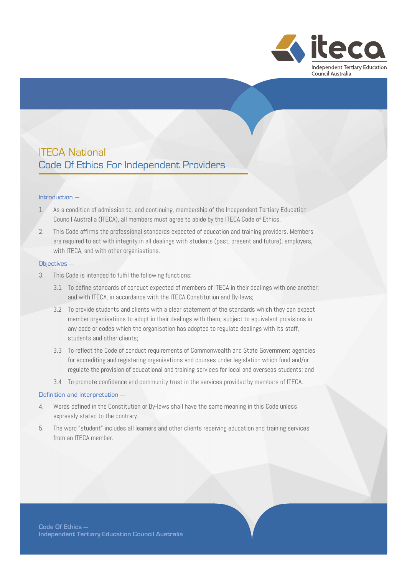

# ITECA National Code Of Ethics For Independent Providers

# Introduction —

- 1. As a condition of admission to, and continuing, membership of the Independent Tertiary Education Council Australia (ITECA), all members must agree to abide by the ITECA Code of Ethics.
- 2. This Code affirms the professional standards expected of education and training providers. Members are required to act with integrity in all dealings with students (past, present and future), employers, with ITECA, and with other organisations.

# Objectives —

- 3. This Code is intended to fulfil the following functions:
	- 3.1 To define standards of conduct expected of members of ITECA in their dealings with one another; and with ITECA, in accordance with the ITECA Constitution and By-laws;
	- 3.2 To provide students and clients with a clear statement of the standards which they can expect member organisations to adopt in their dealings with them, subject to equivalent provisions in any code or codes which the organisation has adopted to regulate dealings with its staff, students and other clients;
	- 3.3 To reflect the Code of conduct requirements of Commonwealth and State Government agencies for accrediting and registering organisations and courses under legislation which fund and/or regulate the provision of educational and training services for local and overseas students; and
	- 3.4 To promote confidence and community trust in the services provided by members of ITECA.

### Definition and interpretation —

- 4. Words defined in the Constitution or By-laws shall have the same meaning in this Code unless expressly stated to the contrary.
- 5. The word "student" includes all learners and other clients receiving education and training services from an ITECA member.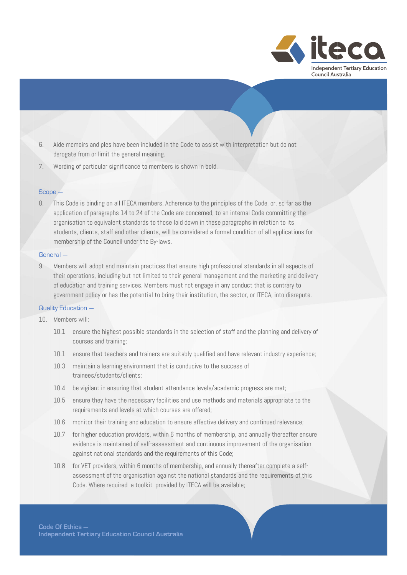

- 6. Aide memoirs and ples have been included in the Code to assist with interpretation but do not derogate from or limit the general meaning.
- 7. Wording of particular significance to members is shown in bold.

# Scope —

8. This Code is binding on all ITECA members. Adherence to the principles of the Code, or, so far as the application of paragraphs 14 to 24 of the Code are concerned, to an internal Code committing the organisation to equivalent standards to those laid down in these paragraphs in relation to its students, clients, staff and other clients, will be considered a formal condition of all applications for membership of the Council under the By-laws.

#### General —

9. Members will adopt and maintain practices that ensure high professional standards in all aspects of their operations, including but not limited to their general management and the marketing and delivery of education and training services. Members must not engage in any conduct that is contrary to government policy or has the potential to bring their institution, the sector, or ITECA, into disrepute.

#### Quality Education —

- 10. Members will:
	- 10.1 ensure the highest possible standards in the selection of staff and the planning and delivery of courses and training;
	- 10.1 ensure that teachers and trainers are suitably qualified and have relevant industry experience;
	- 10.3 maintain a learning environment that is conducive to the success of trainees/students/clients;
	- 10.4 be vigilant in ensuring that student attendance levels/academic progress are met;
	- 10.5 ensure they have the necessary facilities and use methods and materials appropriate to the requirements and levels at which courses are offered;
	- 10.6 monitor their training and education to ensure effective delivery and continued relevance;
	- 10.7 for higher education providers, within 6 months of membership, and annually thereafter ensure evidence is maintained of self-assessment and continuous improvement of the organisation against national standards and the requirements of this Code;
	- 10.8 for VET providers, within 6 months of membership, and annually thereafter complete a selfassessment of the organisation against the national standards and the requirements of this Code. Where required a toolkit provided by ITECA will be available;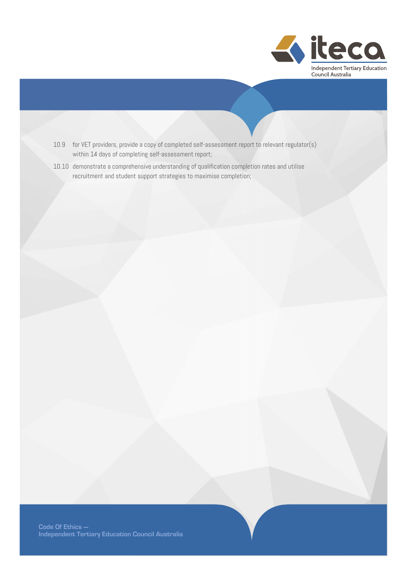

- 10.9 for VET providers, provide a copy of completed self-assessment report to relevant regulator(s) within 14 days of completing self-assessment report;
- 10.10 demonstrate a comprehensive understanding of qualification completion rates and utilise recruitment and student support strategies to maximise completion;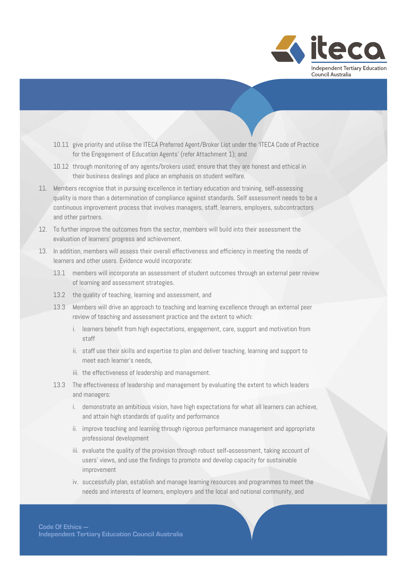

- 10.11 give priority and utilise the ITECA Preferred Agent/Broker List under the 'ITECA Code of Practice for the Engagement of Education Agents' (refer Attachment 1); and
- 10.12 through monitoring of any agents/brokers used; ensure that they are honest and ethical in their business dealings and place an emphasis on student welfare.
- 11. Members recognise that in pursuing excellence in tertiary education and training, self-assessing quality is more than a determination of compliance against standards. Self assessment needs to be a continuous improvement process that involves managers, staff, learners, employers, subcontractors and other partners.
- 12. To further improve the outcomes from the sector, members will build into their assessment the evaluation of learners' progress and achievement.
- 13. In addition, members will assess their overall effectiveness and efficiency in meeting the needs of learners and other users. Evidence would incorporate:
	- 13.1 members will incorporate an assessment of student outcomes through an external peer review of learning and assessment strategies.
	- 13.2 the quality of teaching, learning and assessment, and
	- 13.3 Members will drive an approach to teaching and learning excellence through an external peer review of teaching and assessment practice and the extent to which:
		- i. learners benefit from high expectations, engagement, care, support and motivation from staff
		- ii. staff use their skills and expertise to plan and deliver teaching, learning and support to meet each learner's needs,
		- iii. the effectiveness of leadership and management.
	- 13.3 The effectiveness of leadership and management by evaluating the extent to which leaders and managers:
		- i. demonstrate an ambitious vision, have high expectations for what all learners can achieve, and attain high standards of quality and performance
		- ii. improve teaching and learning through rigorous performance management and appropriate professional development
		- iii. evaluate the quality of the provision through robust self-assessment, taking account of users' views, and use the findings to promote and develop capacity for sustainable improvement
		- iv. successfully plan, establish and manage learning resources and programmes to meet the needs and interests of learners, employers and the local and national community, and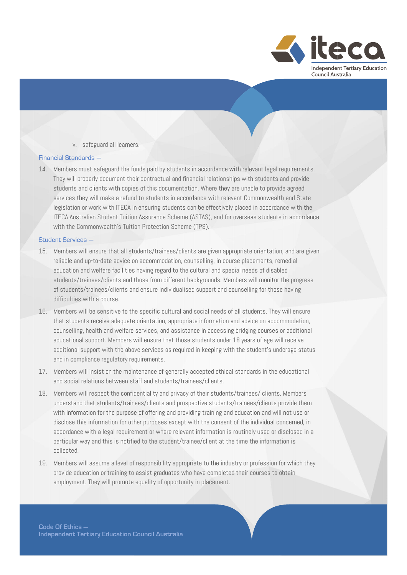

# v. safeguard all learners.

#### Financial Standards —

14. Members must safeguard the funds paid by students in accordance with relevant legal requirements. They will properly document their contractual and financial relationships with students and provide students and clients with copies of this documentation. Where they are unable to provide agreed services they will make a refund to students in accordance with relevant Commonwealth and State legislation or work with ITECA in ensuring students can be effectively placed in accordance with the ITECA Australian Student Tuition Assurance Scheme (ASTAS), and for overseas students in accordance with the Commonwealth's Tuition Protection Scheme (TPS).

### Student Services —

- 15. Members will ensure that all students/trainees/clients are given appropriate orientation, and are given reliable and up-to-date advice on accommodation, counselling, in course placements, remedial education and welfare facilities having regard to the cultural and special needs of disabled students/trainees/clients and those from different backgrounds. Members will monitor the progress of students/trainees/clients and ensure individualised support and counselling for those having difficulties with a course.
- 16. Members will be sensitive to the specific cultural and social needs of all students. They will ensure that students receive adequate orientation, appropriate information and advice on accommodation, counselling, health and welfare services, and assistance in accessing bridging courses or additional educational support. Members will ensure that those students under 18 years of age will receive additional support with the above services as required in keeping with the student's underage status and in compliance regulatory requirements.
- 17. Members will insist on the maintenance of generally accepted ethical standards in the educational and social relations between staff and students/trainees/clients.
- 18. Members will respect the confidentiality and privacy of their students/trainees/ clients. Members understand that students/trainees/clients and prospective students/trainees/clients provide them with information for the purpose of offering and providing training and education and will not use or disclose this information for other purposes except with the consent of the individual concerned, in accordance with a legal requirement or where relevant information is routinely used or disclosed in a particular way and this is notified to the student/trainee/client at the time the information is collected.
- 19. Members will assume a level of responsibility appropriate to the industry or profession for which they provide education or training to assist graduates who have completed their courses to obtain employment. They will promote equality of opportunity in placement.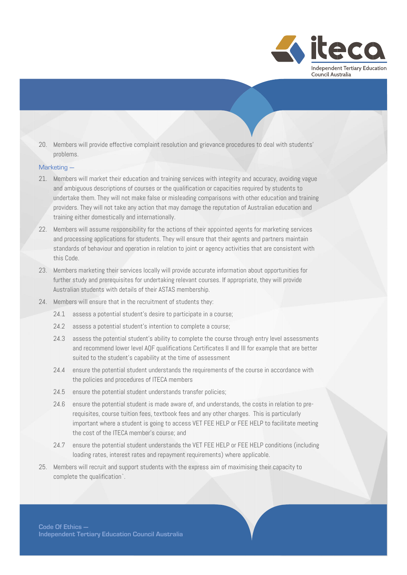

20. Members will provide effective complaint resolution and grievance procedures to deal with students' problems.

# Marketing —

- 21. Members will market their education and training services with integrity and accuracy, avoiding vague and ambiguous descriptions of courses or the qualification or capacities required by students to undertake them. They will not make false or misleading comparisons with other education and training providers. They will not take any action that may damage the reputation of Australian education and training either domestically and internationally.
- 22. Members will assume responsibility for the actions of their appointed agents for marketing services and processing applications for students. They will ensure that their agents and partners maintain standards of behaviour and operation in relation to joint or agency activities that are consistent with this Code.
- 23. Members marketing their services locally will provide accurate information about opportunities for further study and prerequisites for undertaking relevant courses. If appropriate, they will provide Australian students with details of their ASTAS membership.
- 24. Members will ensure that in the recruitment of students they:
	- 24.1 assess a potential student's desire to participate in a course;
	- 24.2 assess a potential student's intention to complete a course;
	- 24.3 assess the potential student's ability to complete the course through entry level assessments and recommend lower level AQF qualifications Certificates II and III for example that are better suited to the student's capability at the time of assessment
	- 24.4 ensure the potential student understands the requirements of the course in accordance with the policies and procedures of ITECA members
	- 24.5 ensure the potential student understands transfer policies;
	- 24.6 ensure the potential student is made aware of, and understands, the costs in relation to prerequisites, course tuition fees, textbook fees and any other charges. This is particularly important where a student is going to access VET FEE HELP or FEE HELP to facilitate meeting the cost of the ITECA member's course; and
	- 24.7 ensure the potential student understands the VET FEE HELP or FEE HELP conditions (including loading rates, interest rates and repayment requirements) where applicable.
- 25. Members will recruit and support students with the express aim of maximising their capacity to complete the qualification`.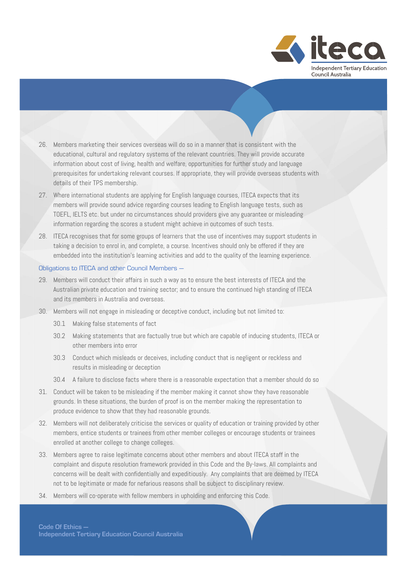

- 26. Members marketing their services overseas will do so in a manner that is consistent with the educational, cultural and regulatory systems of the relevant countries. They will provide accurate information about cost of living, health and welfare, opportunities for further study and language prerequisites for undertaking relevant courses. If appropriate, they will provide overseas students with details of their TPS membership.
- 27. Where international students are applying for English language courses, ITECA expects that its members will provide sound advice regarding courses leading to English language tests, such as TOEFL, IELTS etc. but under no circumstances should providers give any guarantee or misleading information regarding the scores a student might achieve in outcomes of such tests.
- 28. ITECA recognises that for some groups of learners that the use of incentives may support students in taking a decision to enrol in, and complete, a course. Incentives should only be offered if they are embedded into the institution's learning activities and add to the quality of the learning experience.

### Obligations to ITECA and other Council Members —

- 29. Members will conduct their affairs in such a way as to ensure the best interests of ITECA and the Australian private education and training sector; and to ensure the continued high standing of ITECA and its members in Australia and overseas.
- 30. Members will not engage in misleading or deceptive conduct, including but not limited to:
	- 30.1 Making false statements of fact
	- 30.2 Making statements that are factually true but which are capable of inducing students, ITECA or other members into error
	- 30.3 Conduct which misleads or deceives, including conduct that is negligent or reckless and results in misleading or deception
	- 30.4 A failure to disclose facts where there is a reasonable expectation that a member should do so
- 31. Conduct will be taken to be misleading if the member making it cannot show they have reasonable grounds. In these situations, the burden of proof is on the member making the representation to produce evidence to show that they had reasonable grounds.
- 32. Members will not deliberately criticise the services or quality of education or training provided by other members, entice students or trainees from other member colleges or encourage students or trainees enrolled at another college to change colleges.
- 33. Members agree to raise legitimate concerns about other members and about ITECA staff in the complaint and dispute resolution framework provided in this Code and the By-laws. All complaints and concerns will be dealt with confidentially and expeditiously. Any complaints that are deemed by ITECA not to be legitimate or made for nefarious reasons shall be subject to disciplinary review.
- 34. Members will co-operate with fellow members in upholding and enforcing this Code.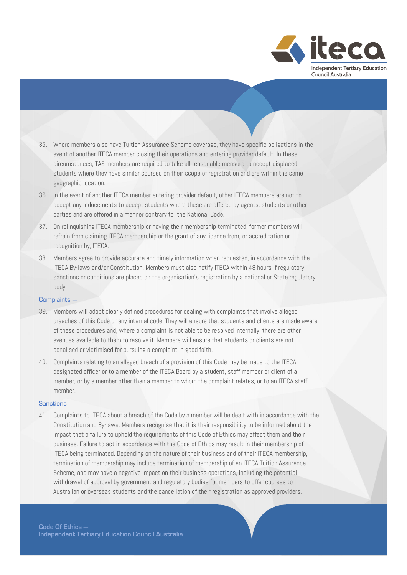

- 35. Where members also have Tuition Assurance Scheme coverage, they have specific obligations in the event of another ITECA member closing their operations and entering provider default. In these circumstances, TAS members are required to take all reasonable measure to accept displaced students where they have similar courses on their scope of registration and are within the same geographic location.
- 36. In the event of another ITECA member entering provider default, other ITECA members are not to accept any inducements to accept students where these are offered by agents, students or other parties and are offered in a manner contrary to the National Code.
- 37. On relinquishing ITECA membership or having their membership terminated, former members will refrain from claiming ITECA membership or the grant of any licence from, or accreditation or recognition by, ITECA.
- 38. Members agree to provide accurate and timely information when requested, in accordance with the ITECA By-laws and/or Constitution. Members must also notify ITECA within 48 hours if regulatory sanctions or conditions are placed on the organisation's registration by a national or State regulatory body.

#### Complaints —

- 39. Members will adopt clearly defined procedures for dealing with complaints that involve alleged breaches of this Code or any internal code. They will ensure that students and clients are made aware of these procedures and, where a complaint is not able to be resolved internally, there are other avenues available to them to resolve it. Members will ensure that students or clients are not penalised or victimised for pursuing a complaint in good faith.
- 40. Complaints relating to an alleged breach of a provision of this Code may be made to the ITECA designated officer or to a member of the ITECA Board by a student, staff member or client of a member, or by a member other than a member to whom the complaint relates, or to an ITECA staff member.

#### Sanctions —

41. Complaints to ITECA about a breach of the Code by a member will be dealt with in accordance with the Constitution and By-laws. Members recognise that it is their responsibility to be informed about the impact that a failure to uphold the requirements of this Code of Ethics may affect them and their business. Failure to act in accordance with the Code of Ethics may result in their membership of ITECA being terminated. Depending on the nature of their business and of their ITECA membership, termination of membership may include termination of membership of an ITECA Tuition Assurance Scheme, and may have a negative impact on their business operations, including the potential withdrawal of approval by government and regulatory bodies for members to offer courses to Australian or overseas students and the cancellation of their registration as approved providers.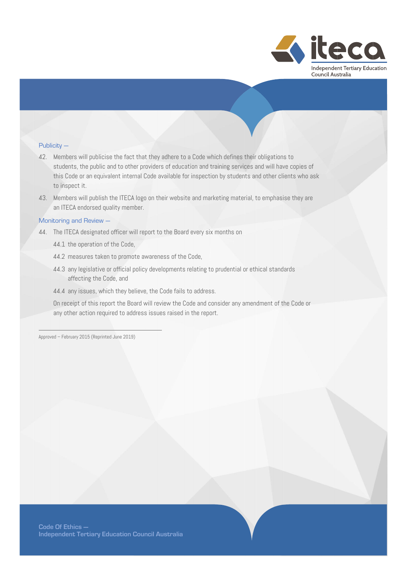

#### Publicity —

- 42. Members will publicise the fact that they adhere to a Code which defines their obligations to students, the public and to other providers of education and training services and will have copies of this Code or an equivalent internal Code available for inspection by students and other clients who ask to inspect it.
- 43. Members will publish the ITECA logo on their website and marketing material, to emphasise they are an ITECA endorsed quality member.

#### Monitoring and Review —

- 44. The ITECA designated officer will report to the Board every six months on
	- 44.1 the operation of the Code,
	- 44.2 measures taken to promote awareness of the Code,
	- 44.3 any legislative or official policy developments relating to prudential or ethical standards affecting the Code, and
	- 44.4 any issues, which they believe, the Code fails to address.

On receipt of this report the Board will review the Code and consider any amendment of the Code or any other action required to address issues raised in the report.

Approved – February 2015 (Reprinted June 2019)